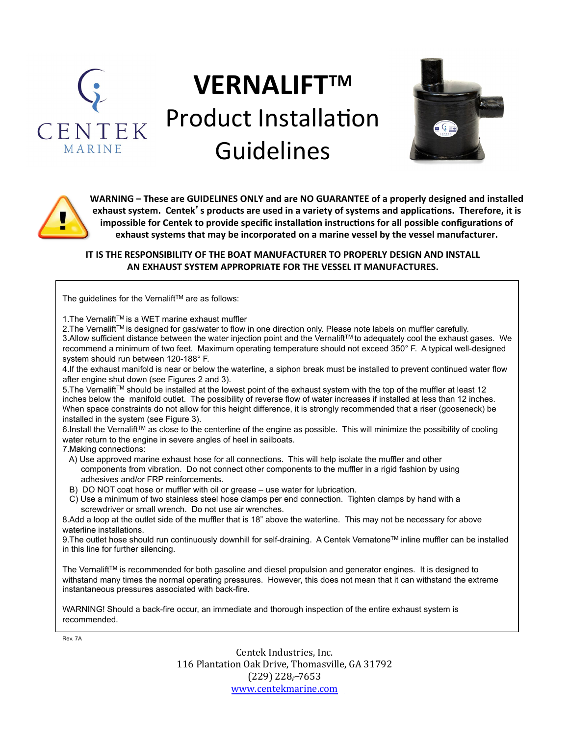

## **VERNALIFTTM** Product Installation Guidelines





WARNING – These are GUIDELINES ONLY and are NO GUARANTEE of a properly designed and installed exhaust system. Centek' s products are used in a variety of systems and applications. Therefore, it is impossible for Centek to provide specific installation instructions for all possible configurations of exhaust systems that may be incorporated on a marine vessel by the vessel manufacturer.

**IT IS THE RESPONSIBILITY OF THE BOAT MANUFACTURER TO PROPERLY DESIGN AND INSTALL AN EXHAUST SYSTEM APPROPRIATE FOR THE VESSEL IT MANUFACTURES.** 

The quidelines for the Vernalift<sup>TM</sup> are as follows:

1. The Vernalift™ is a WET marine exhaust muffler

2. The Vernalift™ is designed for gas/water to flow in one direction only. Please note labels on muffler carefully. 3.Allow sufficient distance between the water injection point and the Vernalift™ to adequately cool the exhaust gases. We recommend a minimum of two feet. Maximum operating temperature should not exceed 350° F. A typical well-designed system should run between 120-188° F.

4.If the exhaust manifold is near or below the waterline, a siphon break must be installed to prevent continued water flow after engine shut down (see Figures 2 and 3).

5. The Vernalift™ should be installed at the lowest point of the exhaust system with the top of the muffler at least 12 inches below the manifold outlet. The possibility of reverse flow of water increases if installed at less than 12 inches. When space constraints do not allow for this height difference, it is strongly recommended that a riser (gooseneck) be installed in the system (see Figure 3).

6.Install the Vernalift™ as close to the centerline of the engine as possible. This will minimize the possibility of cooling water return to the engine in severe angles of heel in sailboats.

7.Making connections:

- A) Use approved marine exhaust hose for all connections. This will help isolate the muffler and other components from vibration. Do not connect other components to the muffler in a rigid fashion by using adhesives and/or FRP reinforcements.
- B) DO NOT coat hose or muffler with oil or grease use water for lubrication.
- C) Use a minimum of two stainless steel hose clamps per end connection. Tighten clamps by hand with a screwdriver or small wrench. Do not use air wrenches.

8.Add a loop at the outlet side of the muffler that is 18" above the waterline. This may not be necessary for above waterline installations.

9. The outlet hose should run continuously downhill for self-draining. A Centek Vernatone<sup>TM</sup> inline muffler can be installed in this line for further silencing.

The Vernalift™ is recommended for both gasoline and diesel propulsion and generator engines. It is designed to withstand many times the normal operating pressures. However, this does not mean that it can withstand the extreme instantaneous pressures associated with back-fire.

WARNING! Should a back-fire occur, an immediate and thorough inspection of the entire exhaust system is recommended.

Rev. 7A

Centek Industries, Inc. 116 Plantation Oak Drive, Thomasville, GA 31792  $(229)$  228, -7653 www.centekmarine.com